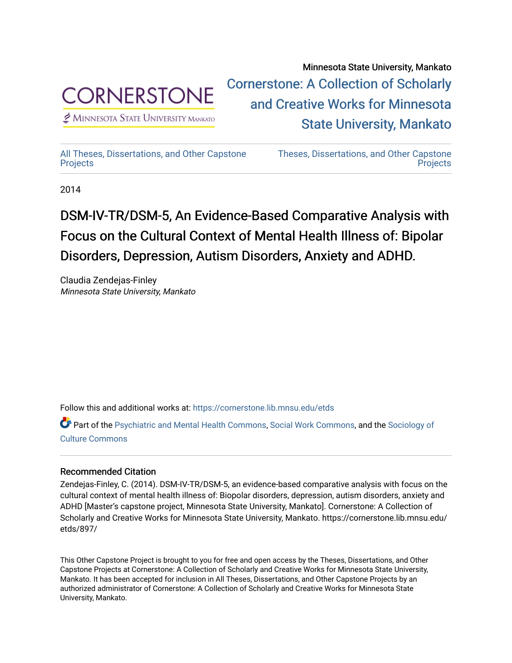

 $<sup>2</sup>$  Minnesota State University Mankato</sup>

Minnesota State University, Mankato [Cornerstone: A Collection of Scholarly](https://cornerstone.lib.mnsu.edu/)  [and Creative Works for Minnesota](https://cornerstone.lib.mnsu.edu/)  [State University, Mankato](https://cornerstone.lib.mnsu.edu/) 

[All Theses, Dissertations, and Other Capstone](https://cornerstone.lib.mnsu.edu/etds)  **[Projects](https://cornerstone.lib.mnsu.edu/etds)** 

[Theses, Dissertations, and Other Capstone](https://cornerstone.lib.mnsu.edu/theses_dissertations-capstone)  **Projects** 

2014

#### DSM-IV-TR/DSM-5, An Evidence-Based Comparative Analysis with Focus on the Cultural Context of Mental Health Illness of: Bipolar Disorders, Depression, Autism Disorders, Anxiety and ADHD.

Claudia Zendejas-Finley Minnesota State University, Mankato

Follow this and additional works at: [https://cornerstone.lib.mnsu.edu/etds](https://cornerstone.lib.mnsu.edu/etds?utm_source=cornerstone.lib.mnsu.edu%2Fetds%2F897&utm_medium=PDF&utm_campaign=PDFCoverPages) 

Part of the [Psychiatric and Mental Health Commons,](http://network.bepress.com/hgg/discipline/711?utm_source=cornerstone.lib.mnsu.edu%2Fetds%2F897&utm_medium=PDF&utm_campaign=PDFCoverPages) [Social Work Commons](http://network.bepress.com/hgg/discipline/713?utm_source=cornerstone.lib.mnsu.edu%2Fetds%2F897&utm_medium=PDF&utm_campaign=PDFCoverPages), and the [Sociology of](http://network.bepress.com/hgg/discipline/431?utm_source=cornerstone.lib.mnsu.edu%2Fetds%2F897&utm_medium=PDF&utm_campaign=PDFCoverPages) [Culture Commons](http://network.bepress.com/hgg/discipline/431?utm_source=cornerstone.lib.mnsu.edu%2Fetds%2F897&utm_medium=PDF&utm_campaign=PDFCoverPages)

#### Recommended Citation

Zendejas-Finley, C. (2014). DSM-IV-TR/DSM-5, an evidence-based comparative analysis with focus on the cultural context of mental health illness of: Biopolar disorders, depression, autism disorders, anxiety and ADHD [Master's capstone project, Minnesota State University, Mankato]. Cornerstone: A Collection of Scholarly and Creative Works for Minnesota State University, Mankato. https://cornerstone.lib.mnsu.edu/ etds/897/

This Other Capstone Project is brought to you for free and open access by the Theses, Dissertations, and Other Capstone Projects at Cornerstone: A Collection of Scholarly and Creative Works for Minnesota State University, Mankato. It has been accepted for inclusion in All Theses, Dissertations, and Other Capstone Projects by an authorized administrator of Cornerstone: A Collection of Scholarly and Creative Works for Minnesota State University, Mankato.